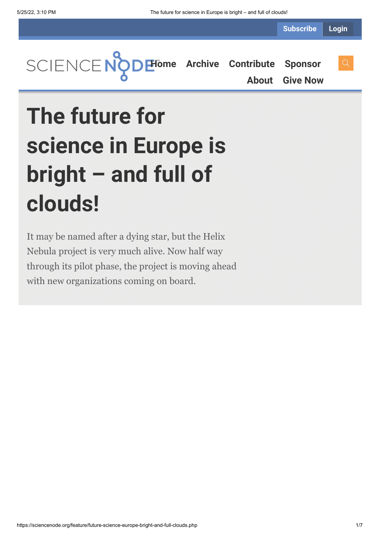**Subscribe Login**

**[Home](https://sciencenode.org/) [Archive](https://sciencenode.org/archive/index.php) [Contribute](https://sciencenode.org/contribute/index.php) [Sponsor](https://sciencenode.org/sponsor/index.php) [About](https://sciencenode.org/about/index.php) [Give Now](https://sciencenode.org/donate/index.php)**

# **The future for science in Europe is bright – and full of clouds!**

It may be named after a dying star, but the Helix Nebula project is very much alive. Now half way through its pilot phase, the project is moving ahead with new organizations coming on board.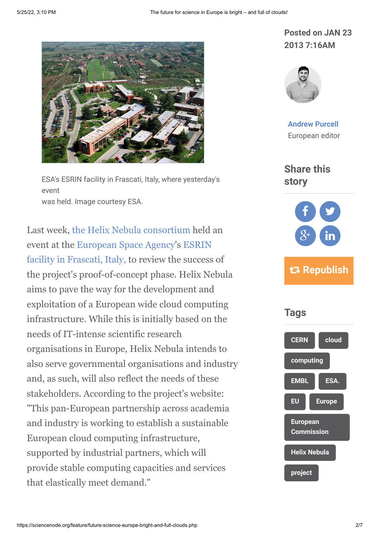

ESA's ESRIN facility in Frascati, Italy, where yesterday's event was held. Image courtesy ESA.

Last week, [the Helix Nebula consortium](http://www.helix-nebula.eu/) held an [event at the European Space Agency's ESRIN](http://www.esa.int/About_Us/ESRIN) facility in Frascati, Italy, to review the success of the project's proof-of-concept phase. Helix Nebula aims to pave the way for the development and exploitation of a European wide cloud computing infrastructure. While this is initially based on the needs of IT-intense scientific research organisations in Europe, Helix Nebula intends to also serve governmental organisations and industry and, as such, will also reflect the needs of these stakeholders. According to the project's website: "This pan-European partnership across academia and industry is working to establish a sustainable European cloud computing infrastructure, supported by industrial partners, which will provide stable computing capacities and services that elastically meet demand."

#### **Posted on JAN 23 2013 7:16AM**



**[Andrew Purcell](https://sciencenode.org/author/andrew-purcell.php)** European editor

**Share this story**



## **Republish**

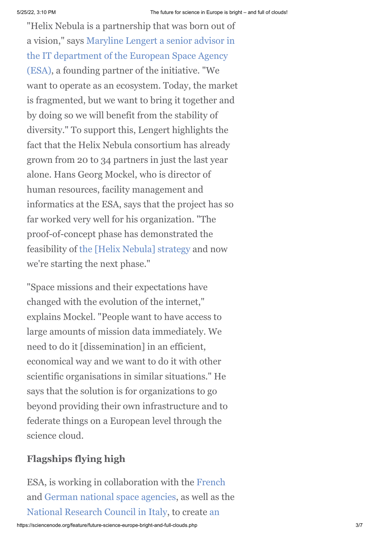"Helix Nebula is a partnership that was born out of [a vision," says Maryline Lengert a senior advisor in](http://www.sienainitiative.eu/Pages/Static.aspx?id_documento=26feb223-de2e-4387-b1d3-72f4d3427215) the IT department of the European Space Agency (ESA), a founding partner of the initiative. "We want to operate as an ecosystem. Today, the market is fragmented, but we want to bring it together and by doing so we will benefit from the stability of diversity." To support this, Lengert highlights the fact that the Helix Nebula consortium has already grown from 20 to 34 partners in just the last year alone. Hans Georg Mockel, who is director of human resources, facility management and informatics at the ESA, says that the project has so far worked very well for his organization. "The proof-of-concept phase has demonstrated the feasibility of [the \[Helix Nebula\] strategy](https://tnc2012.terena.org/getfile/849) and now we're starting the next phase."

"Space missions and their expectations have changed with the evolution of the internet," explains Mockel. "People want to have access to large amounts of mission data immediately. We need to do it [dissemination] in an efficient, economical way and we want to do it with other scientific organisations in similar situations." He says that the solution is for organizations to go beyond providing their own infrastructure and to federate things on a European level through the science cloud.

### **Flagships flying high**

ESA, is working in collaboration with the [French](http://www.cnes.fr/web/CNES-en/7114-home-cnes.php) and [German national space agencies,](http://www.dlr.de/dlr/en/desktopdefault.aspx/tabid-10002/) as well as the [National Research Council in Italy, to create an](http://www.helix-nebula.eu/index.php/helix-nebula-use-cases/uc3.html)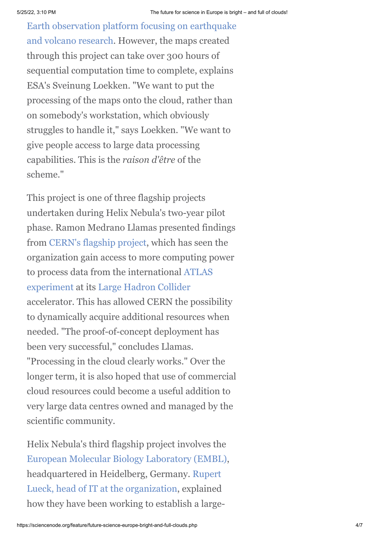[Earth observation platform focusing on earthquake](http://www.helix-nebula.eu/index.php/helix-nebula-use-cases/uc3.html) and volcano research. However, the maps created through this project can take over 300 hours of sequential computation time to complete, explains ESA's Sveinung Loekken. "We want to put the processing of the maps onto the cloud, rather than on somebody's workstation, which obviously struggles to handle it," says Loekken. "We want to give people access to large data processing capabilities. This is the *raison d'être* of the scheme."

This project is one of three flagship projects undertaken during Helix Nebula's two-year pilot phase. Ramon Medrano Llamas presented findings from [CERN's flagship project,](http://www.helix-nebula.eu/index.php/helix-nebula-use-cases/uc1.html) which has seen the organization gain access to more computing power [to process data from the international ATLAS](http://atlas.web.cern.ch/Atlas/Collaboration/) experiment at its [Large Hadron Collider](http://public.web.cern.ch/public/en/lhc/lhc-en.html) accelerator. This has allowed CERN the possibility to dynamically acquire additional resources when needed. "The proof-of-concept deployment has been very successful," concludes Llamas. "Processing in the cloud clearly works." Over the longer term, it is also hoped that use of commercial cloud resources could become a useful addition to very large data centres owned and managed by the scientific community.

Helix Nebula's third flagship project involves the [European Molecular Biology Laboratory \(EMBL\)](http://www.embl.de/), headquartered in Heidelberg, Germany. Rupert [Lueck, head of IT at the organization, explained](https://www.youtube.com/watch?v=aLkTbj2ysRY) how they have been working to establish a large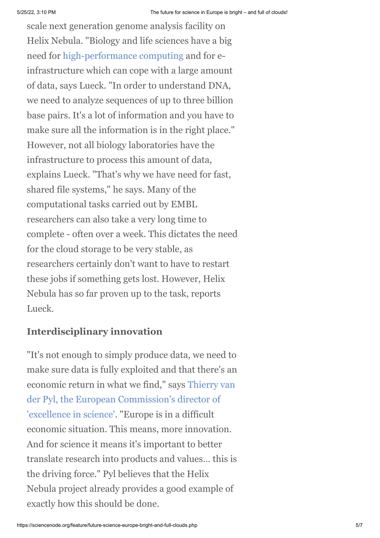scale next generation genome analysis facility on Helix Nebula. "Biology and life sciences have a big need for [high-performance computing](http://www.e-sciencecity.org/HPC-tower/) and for einfrastructure which can cope with a large amount of data, says Lueck. "In order to understand DNA, we need to analyze sequences of up to three billion base pairs. It's a lot of information and you have to make sure all the information is in the right place." However, not all biology laboratories have the infrastructure to process this amount of data, explains Lueck. "That's why we have need for fast, shared file systems," he says. Many of the computational tasks carried out by EMBL researchers can also take a very long time to complete - often over a week. This dictates the need for the cloud storage to be very stable, as researchers certainly don't want to have to restart these jobs if something gets lost. However, Helix Nebula has so far proven up to the task, reports Lueck.

#### **Interdisciplinary innovation**

"It's not enough to simply produce data, we need to make sure data is fully exploited and that there's an [economic return in what we find," says Thierry van](http://gridtalk-project.blogspot.ch/2012/12/a-view-of-horizon2020-from-thierry-van.html) der Pyl, the European Commission's director of 'excellence in science'. "Europe is in a difficult economic situation. This means, more innovation. And for science it means it's important to better translate research into products and values… this is the driving force." Pyl believes that the Helix Nebula project already provides a good example of exactly how this should be done.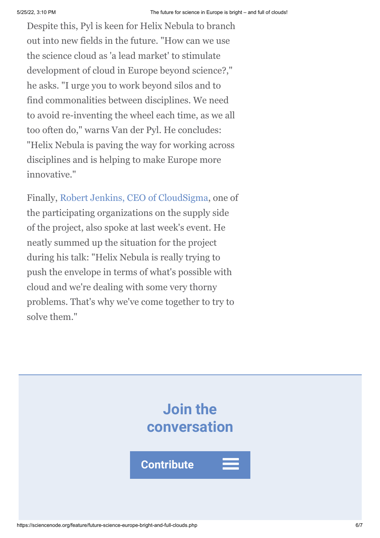Despite this, Pyl is keen for Helix Nebula to branch out into new fields in the future. "How can we use the science cloud as 'a lead market' to stimulate development of cloud in Europe beyond science?," he asks. "I urge you to work beyond silos and to find commonalities between disciplines. We need to avoid re-inventing the wheel each time, as we all too often do," warns Van der Pyl. He concludes: "Helix Nebula is paving the way for working across disciplines and is helping to make Europe more innovative."

Finally, [Robert Jenkins, CEO of CloudSigma](http://www.cloudsigma.com/), one of the participating organizations on the supply side of the project, also spoke at last week's event. He neatly summed up the situation for the project during his talk: "Helix Nebula is really trying to push the envelope in terms of what's possible with cloud and we're dealing with some very thorny problems. That's why we've come together to try to solve them."